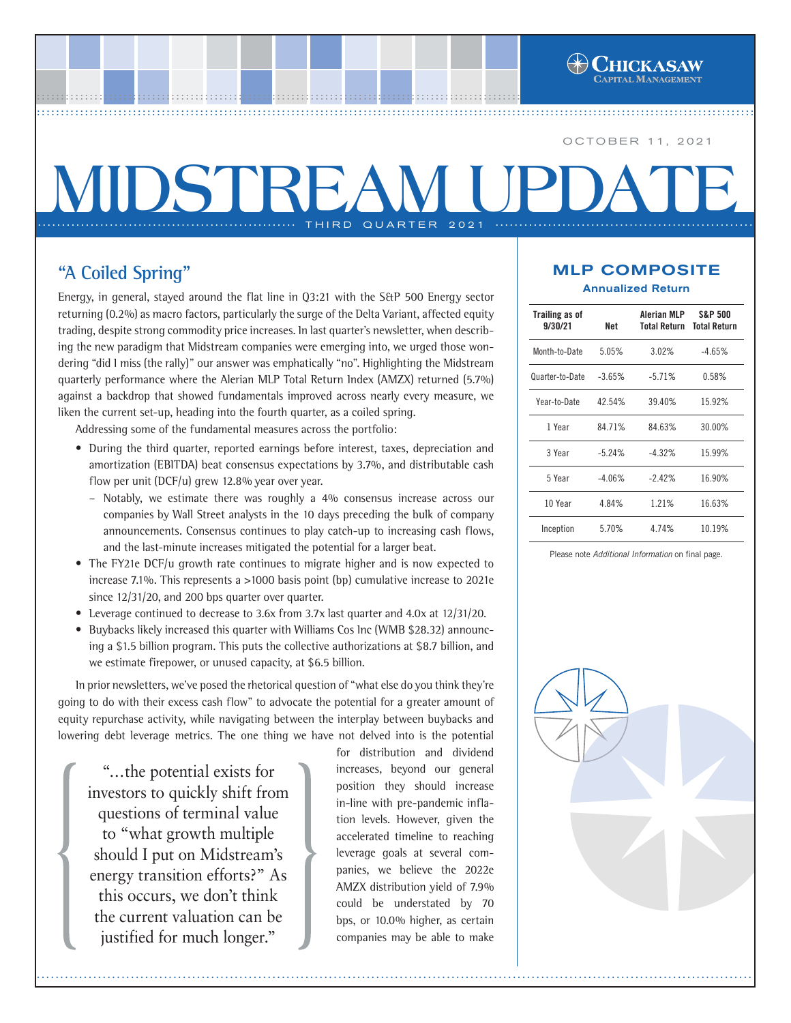OCTOBER 11, 2021

# **MIDSTREAM UPI** THIRD QUARTER 2021

a a contra composición de propria de propria contra contra contra contra cont<mark>e</mark><br>Contra contra contra contra contra contra contra contra contra contra contra contra contra contra contra contr

# **"A Coiled Spring"**

Energy, in general, stayed around the flat line in Q3:21 with the S&P 500 Energy sector returning (0.2%) as macro factors, particularly the surge of the Delta Variant, affected equity trading, despite strong commodity price increases. In last quarter's newsletter, when describing the new paradigm that Midstream companies were emerging into, we urged those wondering "did I miss (the rally)" our answer was emphatically "no". Highlighting the Midstream quarterly performance where the Alerian MLP Total Return Index (AMZX) returned (5.7%) against a backdrop that showed fundamentals improved across nearly every measure, we liken the current set-up, heading into the fourth quarter, as a coiled spring.

Addressing some of the fundamental measures across the portfolio:

- During the third quarter, reported earnings before interest, taxes, depreciation and amortization (EBITDA) beat consensus expectations by 3.7%, and distributable cash flow per unit (DCF/u) grew 12.8% year over year.
	- Notably, we estimate there was roughly a 4% consensus increase across our companies by Wall Street analysts in the 10 days preceding the bulk of company announcements. Consensus continues to play catch-up to increasing cash flows, and the last-minute increases mitigated the potential for a larger beat.
- The FY21e DCF/u growth rate continues to migrate higher and is now expected to increase 7.1%. This represents a >1000 basis point (bp) cumulative increase to 2021e since 12/31/20, and 200 bps quarter over quarter.
- **•** Leverage continued to decrease to 3.6x from 3.7x last quarter and 4.0x at 12/31/20.
- **•** Buybacks likely increased this quarter with Williams Cos Inc (WMB \$28.32) announcing a \$1.5 billion program. This puts the collective authorizations at \$8.7 billion, and we estimate firepower, or unused capacity, at \$6.5 billion.

In prior newsletters, we've posed the rhetorical question of "what else do you think they're going to do with their excess cash flow" to advocate the potential for a greater amount of equity repurchase activity, while navigating between the interplay between buybacks and lowering debt leverage metrics. The one thing we have not delved into is the potential

"...the potential exists for investors to quickly shift from questions of terminal value to "what growth multiple should I put on Midstream's energy transition efforts?" As this occurs, we don't think the current valuation can be justified for much longer."

for distribution and dividend increases, beyond our general position they should increase in-line with pre-pandemic inflation levels. However, given the accelerated timeline to reaching leverage goals at several companies, we believe the 2022e AMZX distribution yield of 7.9% could be understated by 70 bps, or 10.0% higher, as certain companies may be able to make

#### MLP COMPOSITE Annualized Return

| <b>Trailing as of</b><br>9/30/21 | Net      | Alerian MLP<br>Total Return | <b>S&amp;P 500</b><br><b>Total Return</b> |  |  |
|----------------------------------|----------|-----------------------------|-------------------------------------------|--|--|
| Month-to-Date                    | 5.05%    | 3.02%                       | $-4.65%$                                  |  |  |
| Quarter-to-Date                  | $-3.65%$ | $-5.71%$                    | 0.58%                                     |  |  |
| Year-to-Date                     | 42.54%   | 39.40%                      | 15.92%                                    |  |  |
| 1 Year                           | 84.71%   | 84.63%                      | 30.00%                                    |  |  |
| 3 Year                           | $-5.24%$ | $-4.32%$                    | 15.99%                                    |  |  |
| 5 Year                           | $-4.06%$ | $-242%$                     | 16.90%                                    |  |  |
| 10 Year                          | 4.84%    | 1.21%                       | 16.63%                                    |  |  |
| Inception                        | 5.70%    | 4.74%                       | 10.19%                                    |  |  |

Please note *Additional Information* on final page.

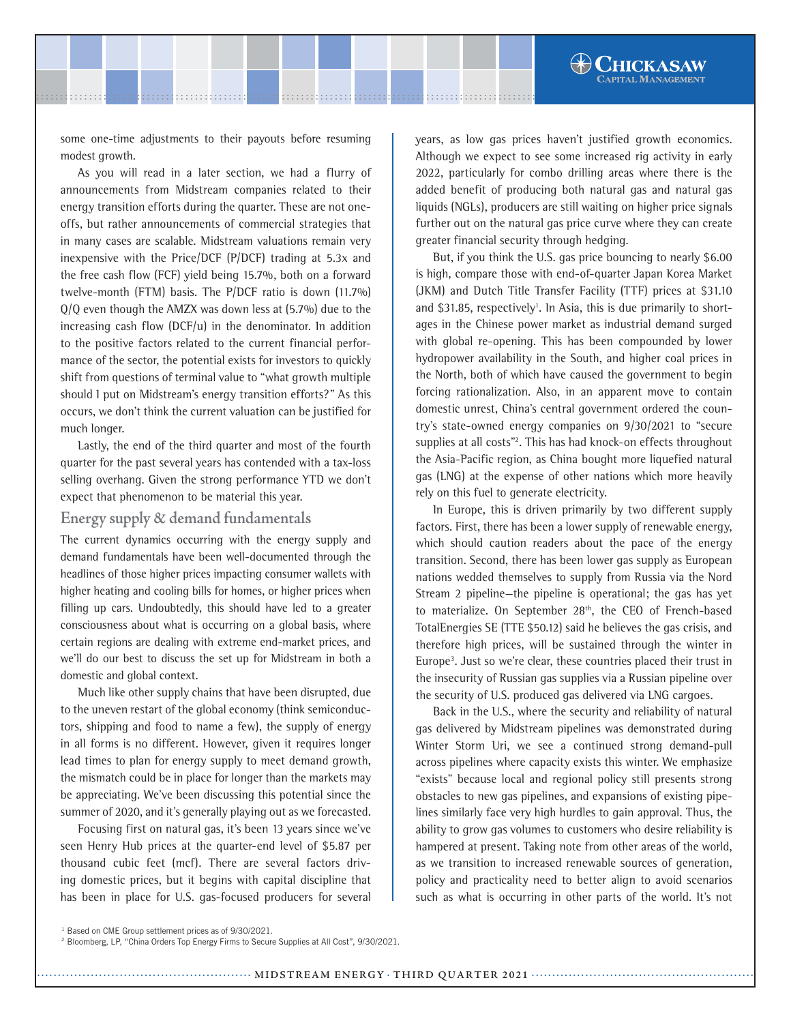some one-time adjustments to their payouts before resuming modest growth.

As you will read in a later section, we had a flurry of announcements from Midstream companies related to their energy transition efforts during the quarter. These are not oneoffs, but rather announcements of commercial strategies that in many cases are scalable. Midstream valuations remain very inexpensive with the Price/DCF (P/DCF) trading at 5.3x and the free cash flow (FCF) yield being 15.7%, both on a forward twelve-month (FTM) basis. The P/DCF ratio is down (11.7%) Q/Q even though the AMZX was down less at (5.7%) due to the increasing cash flow (DCF/u) in the denominator. In addition to the positive factors related to the current financial performance of the sector, the potential exists for investors to quickly shift from questions of terminal value to "what growth multiple should I put on Midstream's energy transition efforts?" As this occurs, we don't think the current valuation can be justified for much longer.

Lastly, the end of the third quarter and most of the fourth quarter for the past several years has contended with a tax-loss selling overhang. Given the strong performance YTD we don't expect that phenomenon to be material this year.

## **Energy supply & demand fundamentals**

The current dynamics occurring with the energy supply and demand fundamentals have been well-documented through the headlines of those higher prices impacting consumer wallets with higher heating and cooling bills for homes, or higher prices when filling up cars. Undoubtedly, this should have led to a greater consciousness about what is occurring on a global basis, where certain regions are dealing with extreme end-market prices, and we'll do our best to discuss the set up for Midstream in both a domestic and global context.

Much like other supply chains that have been disrupted, due to the uneven restart of the global economy (think semiconductors, shipping and food to name a few), the supply of energy in all forms is no different. However, given it requires longer lead times to plan for energy supply to meet demand growth, the mismatch could be in place for longer than the markets may be appreciating. We've been discussing this potential since the summer of 2020, and it's generally playing out as we forecasted.

Focusing first on natural gas, it's been 13 years since we've seen Henry Hub prices at the quarter-end level of \$5.87 per thousand cubic feet (mcf). There are several factors driving domestic prices, but it begins with capital discipline that has been in place for U.S. gas-focused producers for several years, as low gas prices haven't justified growth economics. Although we expect to see some increased rig activity in early 2022, particularly for combo drilling areas where there is the added benefit of producing both natural gas and natural gas liquids (NGLs), producers are still waiting on higher price signals further out on the natural gas price curve where they can create greater financial security through hedging.

But, if you think the U.S. gas price bouncing to nearly \$6.00 is high, compare those with end-of-quarter Japan Korea Market (JKM) and Dutch Title Transfer Facility (TTF) prices at \$31.10 and \$31.85, respectively<sup>1</sup>. In Asia, this is due primarily to shortages in the Chinese power market as industrial demand surged with global re-opening. This has been compounded by lower hydropower availability in the South, and higher coal prices in the North, both of which have caused the government to begin forcing rationalization. Also, in an apparent move to contain domestic unrest, China's central government ordered the country's state-owned energy companies on 9/30/2021 to "secure supplies at all costs"2 . This has had knock-on effects throughout the Asia-Pacific region, as China bought more liquefied natural gas (LNG) at the expense of other nations which more heavily rely on this fuel to generate electricity.

In Europe, this is driven primarily by two different supply factors. First, there has been a lower supply of renewable energy, which should caution readers about the pace of the energy transition. Second, there has been lower gas supply as European nations wedded themselves to supply from Russia via the Nord Stream 2 pipeline—the pipeline is operational; the gas has yet to materialize. On September 28<sup>th</sup>, the CEO of French-based TotalEnergies SE (TTE \$50.12) said he believes the gas crisis, and therefore high prices, will be sustained through the winter in Europe<sup>3</sup>. Just so we're clear, these countries placed their trust in the insecurity of Russian gas supplies via a Russian pipeline over the security of U.S. produced gas delivered via LNG cargoes.

Back in the U.S., where the security and reliability of natural gas delivered by Midstream pipelines was demonstrated during Winter Storm Uri, we see a continued strong demand-pull across pipelines where capacity exists this winter. We emphasize "exists" because local and regional policy still presents strong obstacles to new gas pipelines, and expansions of existing pipelines similarly face very high hurdles to gain approval. Thus, the ability to grow gas volumes to customers who desire reliability is hampered at present. Taking note from other areas of the world, as we transition to increased renewable sources of generation, policy and practicality need to better align to avoid scenarios such as what is occurring in other parts of the world. It's not

<sup>&</sup>lt;sup>1</sup> Based on CME Group settlement prices as of 9/30/2021.

<sup>2</sup> Bloomberg, LP, "China Orders Top Energy Firms to Secure Supplies at All Cost", 9/30/2021.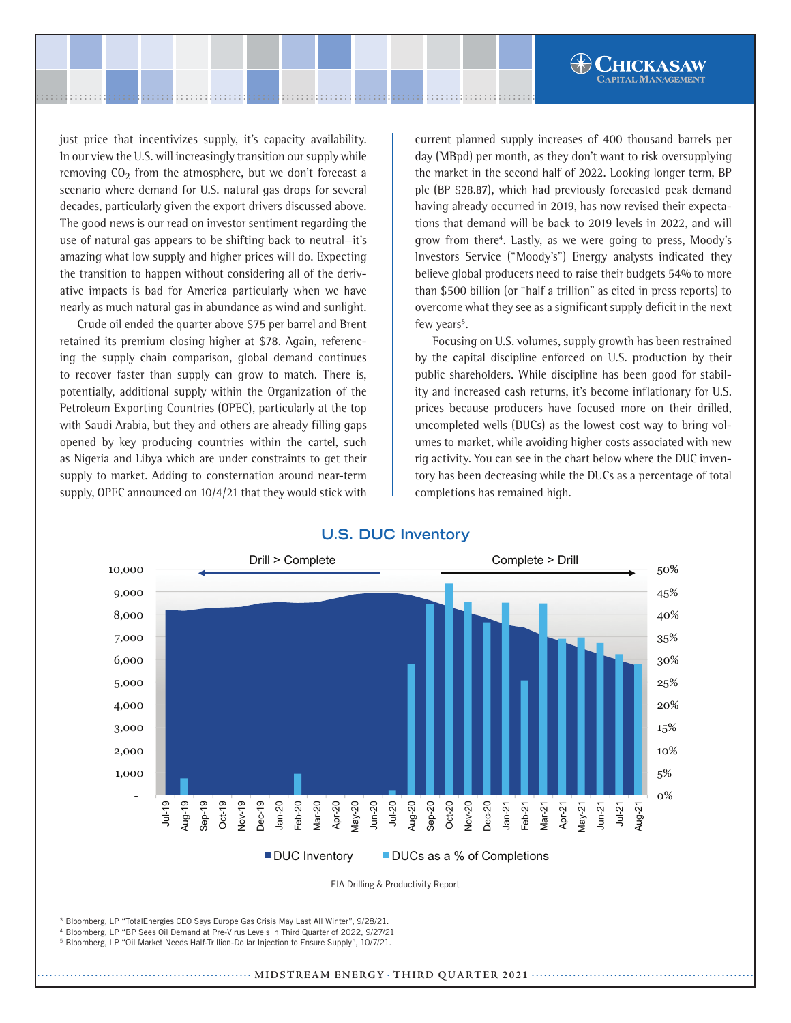just price that incentivizes supply, it's capacity availability. In our view the U.S. will increasingly transition our supply while removing  $CO<sub>2</sub>$  from the atmosphere, but we don't forecast a scenario where demand for U.S. natural gas drops for several decades, particularly given the export drivers discussed above. The good news is our read on investor sentiment regarding the use of natural gas appears to be shifting back to neutral—it's amazing what low supply and higher prices will do. Expecting the transition to happen without considering all of the derivative impacts is bad for America particularly when we have nearly as much natural gas in abundance as wind and sunlight.

Crude oil ended the quarter above \$75 per barrel and Brent retained its premium closing higher at \$78. Again, referencing the supply chain comparison, global demand continues to recover faster than supply can grow to match. There is, potentially, additional supply within the Organization of the Petroleum Exporting Countries (OPEC), particularly at the top with Saudi Arabia, but they and others are already filling gaps opened by key producing countries within the cartel, such as Nigeria and Libya which are under constraints to get their supply to market. Adding to consternation around near-term supply, OPEC announced on 10/4/21 that they would stick with

current planned supply increases of 400 thousand barrels per day (MBpd) per month, as they don't want to risk oversupplying the market in the second half of 2022. Looking longer term, BP plc (BP \$28.87), which had previously forecasted peak demand having already occurred in 2019, has now revised their expectations that demand will be back to 2019 levels in 2022, and will grow from there4 . Lastly, as we were going to press, Moody's Investors Service ("Moody's") Energy analysts indicated they believe global producers need to raise their budgets 54% to more than \$500 billion (or "half a trillion" as cited in press reports) to overcome what they see as a significant supply deficit in the next few years<sup>5</sup>.

**HICKASAW** 

Focusing on U.S. volumes, supply growth has been restrained by the capital discipline enforced on U.S. production by their public shareholders. While discipline has been good for stability and increased cash returns, it's become inflationary for U.S. prices because producers have focused more on their drilled, uncompleted wells (DUCs) as the lowest cost way to bring volumes to market, while avoiding higher costs associated with new rig activity. You can see in the chart below where the DUC inventory has been decreasing while the DUCs as a percentage of total completions has remained high.



# **U.S. DUC Inventory**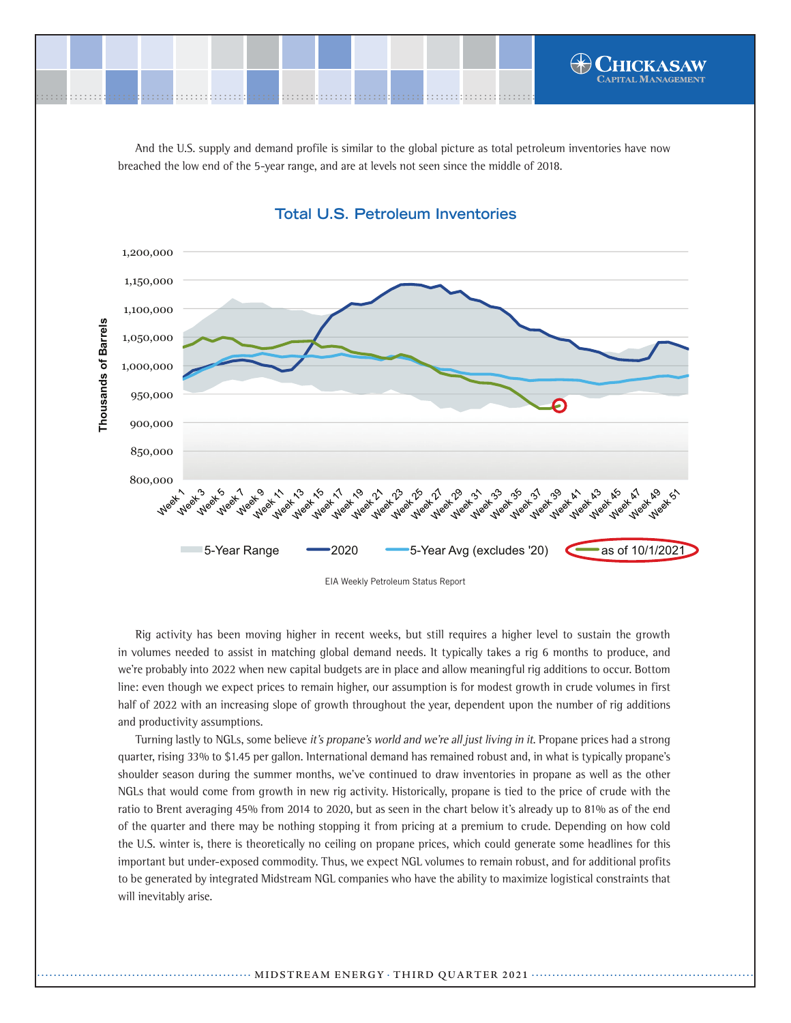

And the U.S. supply and demand profile is similar to the global picture as total petroleum inventories have now breached the low end of the 5-year range, and are at levels not seen since the middle of 2018.



## **Total U.S. Petroleum Inventories**

EIA Weekly Petroleum Status Report

Rig activity has been moving higher in recent weeks, but still requires a higher level to sustain the growth in volumes needed to assist in matching global demand needs. It typically takes a rig 6 months to produce, and we're probably into 2022 when new capital budgets are in place and allow meaningful rig additions to occur. Bottom line: even though we expect prices to remain higher, our assumption is for modest growth in crude volumes in first half of 2022 with an increasing slope of growth throughout the year, dependent upon the number of rig additions and productivity assumptions.

Turning lastly to NGLs, some believe it's propane's world and we're all just living in it. Propane prices had a strong quarter, rising 33% to \$1.45 per gallon. International demand has remained robust and, in what is typically propane's shoulder season during the summer months, we've continued to draw inventories in propane as well as the other NGLs that would come from growth in new rig activity. Historically, propane is tied to the price of crude with the ratio to Brent averaging 45% from 2014 to 2020, but as seen in the chart below it's already up to 81% as of the end of the quarter and there may be nothing stopping it from pricing at a premium to crude. Depending on how cold the U.S. winter is, there is theoretically no ceiling on propane prices, which could generate some headlines for this important but under-exposed commodity. Thus, we expect NGL volumes to remain robust, and for additional profits to be generated by integrated Midstream NGL companies who have the ability to maximize logistical constraints that will inevitably arise.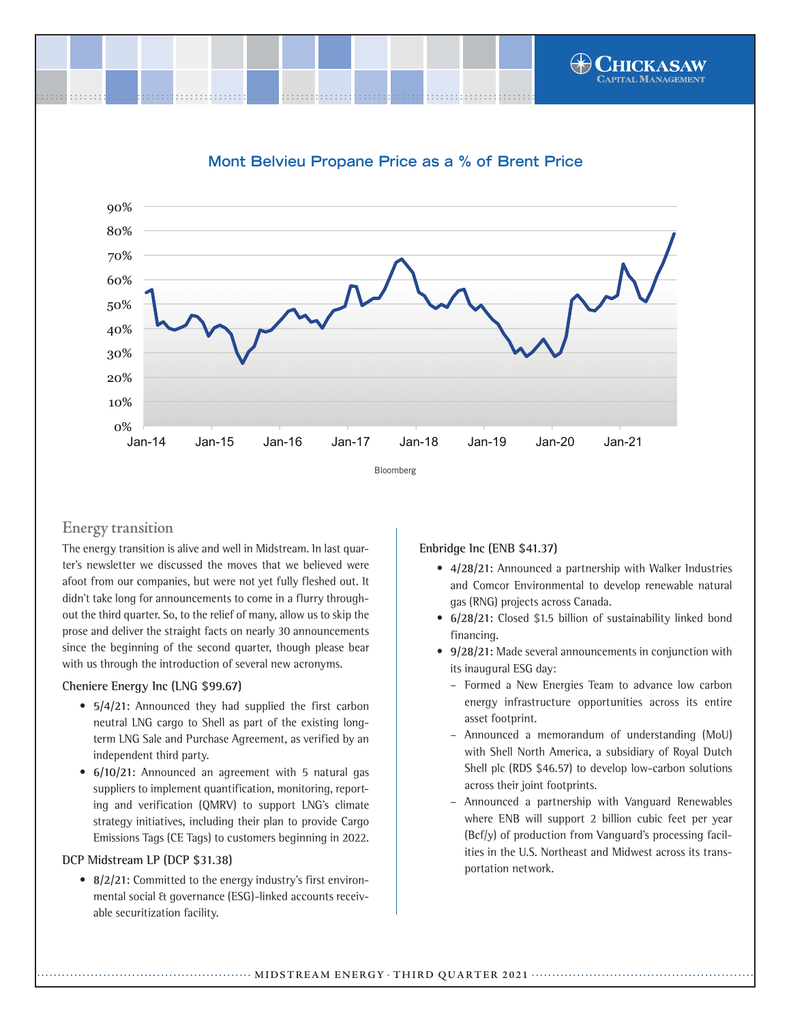

# **Mont Belvieu Propane Price as a % of Brent Price**



# **Energy transition**

The energy transition is alive and well in Midstream. In last quarter's newsletter we discussed the moves that we believed were afoot from our companies, but were not yet fully fleshed out. It didn't take long for announcements to come in a flurry throughout the third quarter. So, to the relief of many, allow us to skip the prose and deliver the straight facts on nearly 30 announcements since the beginning of the second quarter, though please bear with us through the introduction of several new acronyms.

#### **Cheniere Energy Inc (LNG \$99.67)**

- **5/4/21:** Announced they had supplied the first carbon neutral LNG cargo to Shell as part of the existing longterm LNG Sale and Purchase Agreement, as verified by an independent third party.
- **6/10/21:** Announced an agreement with 5 natural gas suppliers to implement quantification, monitoring, reporting and verification (QMRV) to support LNG's climate strategy initiatives, including their plan to provide Cargo Emissions Tags (CE Tags) to customers beginning in 2022.

## **DCP Midstream LP (DCP \$31.38)**

**• 8/2/21:** Committed to the energy industry's first environmental social & governance (ESG)-linked accounts receivable securitization facility.

**Enbridge Inc (ENB \$41.37)**

- **4/28/21:** Announced a partnership with Walker Industries and Comcor Environmental to develop renewable natural gas (RNG) projects across Canada.
- **6/28/21:** Closed \$1.5 billion of sustainability linked bond financing.
- **9/28/21:** Made several announcements in conjunction with its inaugural ESG day:
	- Formed a New Energies Team to advance low carbon energy infrastructure opportunities across its entire asset footprint.
	- Announced a memorandum of understanding (MoU) with Shell North America, a subsidiary of Royal Dutch Shell plc (RDS \$46.57) to develop low-carbon solutions across their joint footprints.
	- Announced a partnership with Vanguard Renewables where ENB will support 2 billion cubic feet per year (Bcf/y) of production from Vanguard's processing facilities in the U.S. Northeast and Midwest across its transportation network.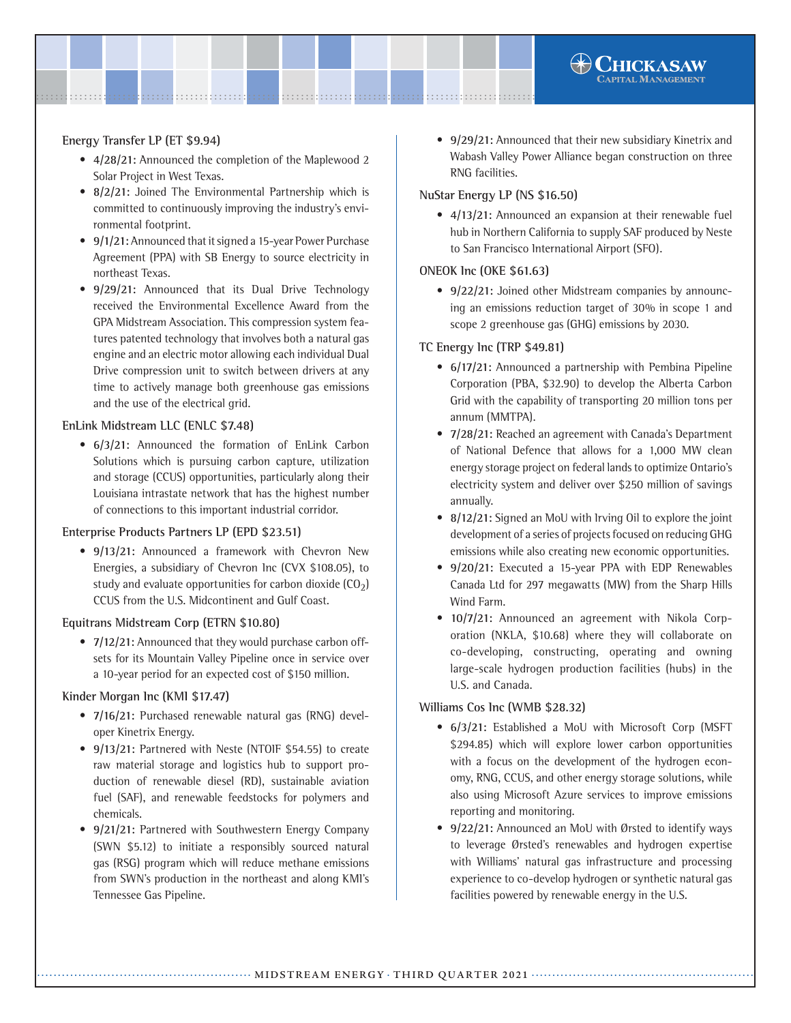#### **Energy Transfer LP (ET \$9.94)**

- **4/28/21:** Announced the completion of the Maplewood 2 Solar Project in West Texas.
- **8/2/21:** Joined The Environmental Partnership which is committed to continuously improving the industry's environmental footprint.
- **9/1/21:** Announced that it signed a 15-year Power Purchase Agreement (PPA) with SB Energy to source electricity in northeast Texas.
- **9/29/21:** Announced that its Dual Drive Technology received the Environmental Excellence Award from the GPA Midstream Association. This compression system features patented technology that involves both a natural gas engine and an electric motor allowing each individual Dual Drive compression unit to switch between drivers at any time to actively manage both greenhouse gas emissions and the use of the electrical grid.

#### **EnLink Midstream LLC (ENLC \$7.48)**

**• 6/3/21:** Announced the formation of EnLink Carbon Solutions which is pursuing carbon capture, utilization and storage (CCUS) opportunities, particularly along their Louisiana intrastate network that has the highest number of connections to this important industrial corridor.

#### **Enterprise Products Partners LP (EPD \$23.51)**

**• 9/13/21:** Announced a framework with Chevron New Energies, a subsidiary of Chevron Inc (CVX \$108.05), to study and evaluate opportunities for carbon dioxide  $(CO<sub>2</sub>)$ CCUS from the U.S. Midcontinent and Gulf Coast.

#### **Equitrans Midstream Corp (ETRN \$10.80)**

**• 7/12/21:** Announced that they would purchase carbon offsets for its Mountain Valley Pipeline once in service over a 10-year period for an expected cost of \$150 million.

#### **Kinder Morgan Inc (KMI \$17.47)**

- **7/16/21:** Purchased renewable natural gas (RNG) developer Kinetrix Energy.
- **9/13/21:** Partnered with Neste (NTOIF \$54.55) to create raw material storage and logistics hub to support production of renewable diesel (RD), sustainable aviation fuel (SAF), and renewable feedstocks for polymers and chemicals.
- **9/21/21:** Partnered with Southwestern Energy Company (SWN \$5.12) to initiate a responsibly sourced natural gas (RSG) program which will reduce methane emissions from SWN's production in the northeast and along KMI's Tennessee Gas Pipeline.

• **9/29/21:** Announced that their new subsidiary Kinetrix and Wabash Valley Power Alliance began construction on three RNG facilities.

**CHICKASAW** 

#### **NuStar Energy LP (NS \$16.50)**

**• 4/13/21:** Announced an expansion at their renewable fuel hub in Northern California to supply SAF produced by Neste to San Francisco International Airport (SFO).

#### **ONEOK Inc (OKE \$61.63)**

**• 9/22/21:** Joined other Midstream companies by announcing an emissions reduction target of 30% in scope 1 and scope 2 greenhouse gas (GHG) emissions by 2030.

#### **TC Energy Inc (TRP \$49.81)**

- **6/17/21:** Announced a partnership with Pembina Pipeline Corporation (PBA, \$32.90) to develop the Alberta Carbon Grid with the capability of transporting 20 million tons per annum (MMTPA).
- **7/28/21:** Reached an agreement with Canada's Department of National Defence that allows for a 1,000 MW clean energy storage project on federal lands to optimize Ontario's electricity system and deliver over \$250 million of savings annually.
- **8/12/21:** Signed an MoU with Irving Oil to explore the joint development of a series of projects focused on reducing GHG emissions while also creating new economic opportunities.
- **9/20/21:** Executed a 15-year PPA with EDP Renewables Canada Ltd for 297 megawatts (MW) from the Sharp Hills Wind Farm.
- **10/7/21:** Announced an agreement with Nikola Corporation (NKLA, \$10.68) where they will collaborate on co-developing, constructing, operating and owning large-scale hydrogen production facilities (hubs) in the U.S. and Canada.

#### **Williams Cos Inc (WMB \$28.32)**

- **6/3/21:** Established a MoU with Microsoft Corp (MSFT \$294.85) which will explore lower carbon opportunities with a focus on the development of the hydrogen economy, RNG, CCUS, and other energy storage solutions, while also using Microsoft Azure services to improve emissions reporting and monitoring.
- **9/22/21:** Announced an MoU with Ørsted to identify ways to leverage Ørsted's renewables and hydrogen expertise with Williams' natural gas infrastructure and processing experience to co-develop hydrogen or synthetic natural gas facilities powered by renewable energy in the U.S.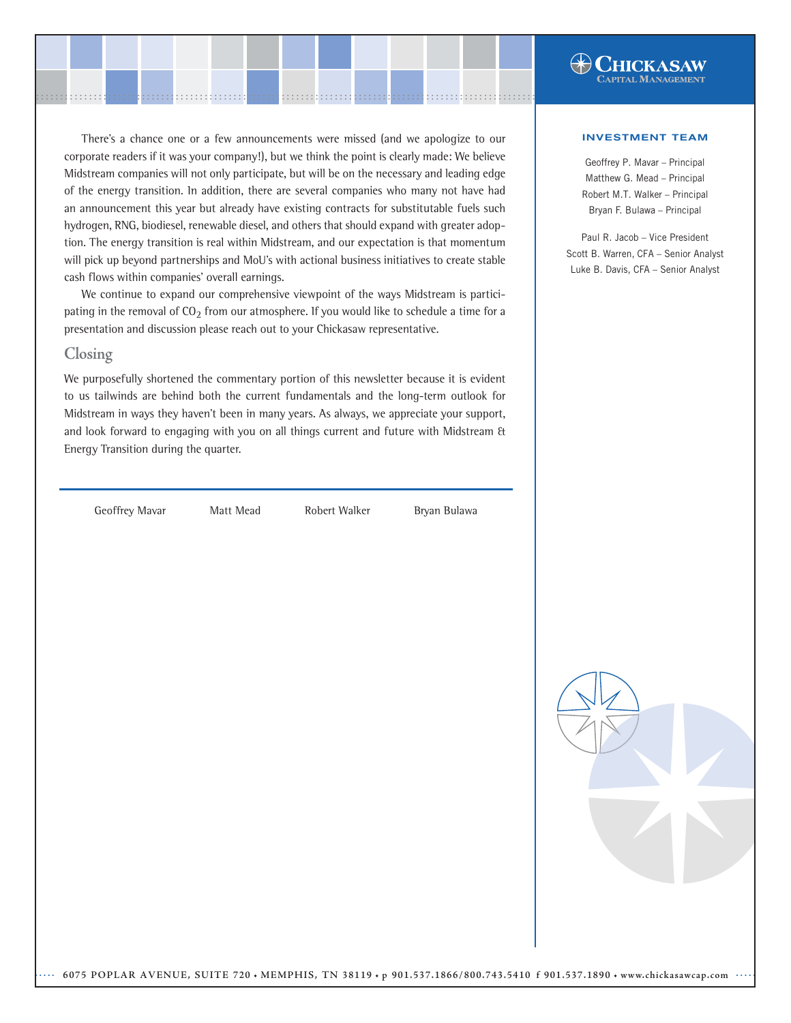There's a chance one or a few announcements were missed (and we apologize to our corporate readers if it was your company!), but we think the point is clearly made: We believe Midstream companies will not only participate, but will be on the necessary and leading edge of the energy transition. In addition, there are several companies who many not have had an announcement this year but already have existing contracts for substitutable fuels such hydrogen, RNG, biodiesel, renewable diesel, and others that should expand with greater adoption. The energy transition is real within Midstream, and our expectation is that momentum will pick up beyond partnerships and MoU's with actional business initiatives to create stable cash flows within companies' overall earnings.

........................................................................................................ ........................................................................................................

We continue to expand our comprehensive viewpoint of the ways Midstream is participating in the removal of  $CO_2$  from our atmosphere. If you would like to schedule a time for a presentation and discussion please reach out to your Chickasaw representative.

#### **Closing**

We purposefully shortened the commentary portion of this newsletter because it is evident to us tailwinds are behind both the current fundamentals and the long-term outlook for Midstream in ways they haven't been in many years. As always, we appreciate your support, and look forward to engaging with you on all things current and future with Midstream & Energy Transition during the quarter.

Geoffrey Mavar **Matt Mead** Robert Walker Bryan Bulawa



**HICKASAW** 

Geoffrey P. Mavar – Principal Matthew G. Mead – Principal Robert M.T. Walker – Principal Bryan F. Bulawa – Principal

Paul R. Jacob – Vice President Scott B. Warren, CFA – Senior Analyst Luke B. Davis, CFA – Senior Analyst

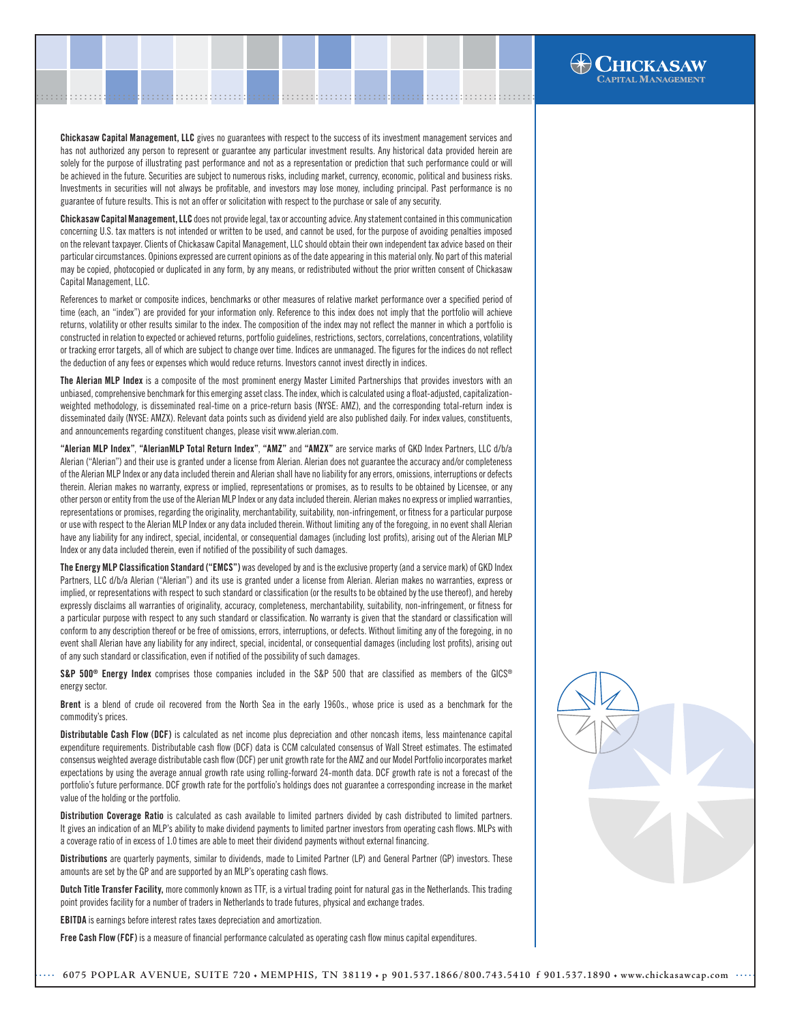Chickasaw Capital Management, LLC gives no guarantees with respect to the success of its investment management services and has not authorized any person to represent or guarantee any particular investment results. Any historical data provided herein are solely for the purpose of illustrating past performance and not as a representation or prediction that such performance could or will be achieved in the future. Securities are subject to numerous risks, including market, currency, economic, political and business risks. Investments in securities will not always be profitable, and investors may lose money, including principal. Past performance is no guarantee of future results. This is not an offer or solicitation with respect to the purchase or sale of any security.

.......................................................................................................[.](http://www.chickasawcap.com) ........................................................................................................

Chickasaw Capital Management, LLC does not provide legal, tax or accounting advice. Any statement contained in this communication concerning U.S. tax matters is not intended or written to be used, and cannot be used, for the purpose of avoiding penalties imposed on the relevant taxpayer. Clients of Chickasaw Capital Management, LLC should obtain their own independent tax advice based on their particular circumstances. Opinions expressed are current opinions as of the date appearing in this material only. No part of this material may be copied, photocopied or duplicated in any form, by any means, or redistributed without the prior written consent of Chickasaw Capital Management, LLC.

References to market or composite indices, benchmarks or other measures of relative market performance over a specified period of time (each, an "index") are provided for your information only. Reference to this index does not imply that the portfolio will achieve returns, volatility or other results similar to the index. The composition of the index may not reflect the manner in which a portfolio is constructed in relation to expected or achieved returns, portfolio guidelines, restrictions, sectors, correlations, concentrations, volatility or tracking error targets, all of which are subject to change over time. Indices are unmanaged. The figures for the indices do not reflect the deduction of any fees or expenses which would reduce returns. Investors cannot invest directly in indices.

The Alerian MLP Index is a composite of the most prominent energy Master Limited Partnerships that provides investors with an unbiased, comprehensive benchmark for this emerging asset class. The index, which is calculated using a float-adjusted, capitalizationweighted methodology, is disseminated real-time on a price-return basis (NYSE: AMZ), and the corresponding total-return index is disseminated daily (NYSE: AMZX). Relevant data points such as dividend yield are also published daily. For index values, constituents, and announcements regarding constituent changes, please visit www.alerian.com.

"Alerian MLP Index", "AlerianMLP Total Return Index", "AMZ" and "AMZX" are service marks of GKD Index Partners, LLC d/b/a Alerian ("Alerian") and their use is granted under a license from Alerian. Alerian does not guarantee the accuracy and/or completeness of the Alerian MLP Index or any data included therein and Alerian shall have no liability for any errors, omissions, interruptions or defects therein. Alerian makes no warranty, express or implied, representations or promises, as to results to be obtained by Licensee, or any other person or entity from the use of the Alerian MLP Index or any data included therein. Alerian makes no express or implied warranties, representations or promises, regarding the originality, merchantability, suitability, non-infringement, or fitness for a particular purpose or use with respect to the Alerian MLP Index or any data included therein. Without limiting any of the foregoing, in no event shall Alerian have any liability for any indirect, special, incidental, or consequential damages (including lost profits), arising out of the Alerian MLP Index or any data included therein, even if notified of the possibility of such damages.

The Energy MLP Classification Standard ("EMCS") was developed by and is the exclusive property (and a service mark) of GKD Index Partners, LLC d/b/a Alerian ("Alerian") and its use is granted under a license from Alerian. Alerian makes no warranties, express or implied, or representations with respect to such standard or classification (or the results to be obtained by the use thereof), and hereby expressly disclaims all warranties of originality, accuracy, completeness, merchantability, suitability, non-infringement, or fitness for a particular purpose with respect to any such standard or classification. No warranty is given that the standard or classification will conform to any description thereof or be free of omissions, errors, interruptions, or defects. Without limiting any of the foregoing, in no event shall Alerian have any liability for any indirect, special, incidental, or consequential damages (including lost profits), arising out of any such standard or classification, even if notified of the possibility of such damages.

S&P 500<sup>®</sup> Energy Index comprises those companies included in the S&P 500 that are classified as members of the GICS<sup>®</sup> energy sector.

Brent is a blend of crude oil recovered from the North Sea in the early 1960s., whose price is used as a benchmark for the commodity's prices.

Distributable Cash Flow (DCF) is calculated as net income plus depreciation and other noncash items, less maintenance capital expenditure requirements. Distributable cash flow (DCF) data is CCM calculated consensus of Wall Street estimates. The estimated consensus weighted average distributable cash flow (DCF) per unit growth rate for the AMZ and our Model Portfolio incorporates market expectations by using the average annual growth rate using rolling-forward 24-month data. DCF growth rate is not a forecast of the portfolio's future performance. DCF growth rate for the portfolio's holdings does not guarantee a corresponding increase in the market value of the holding or the portfolio.

Distribution Coverage Ratio is calculated as cash available to limited partners divided by cash distributed to limited partners. It gives an indication of an MLP's ability to make dividend payments to limited partner investors from operating cash flows. MLPs with a coverage ratio of in excess of 1.0 times are able to meet their dividend payments without external financing.

Distributions are quarterly payments, similar to dividends, made to Limited Partner (LP) and General Partner (GP) investors. These amounts are set by the GP and are supported by an MLP's operating cash flows.

Dutch Title Transfer Facility, more commonly known as TTF, is a virtual trading point for natural gas in the Netherlands. This trading point provides facility for a number of traders in Netherlands to trade futures, physical and exchange trades.

EBITDA is earnings before interest rates taxes depreciation and amortization.

Free Cash Flow (FCF) is a measure of financial performance calculated as operating cash flow minus capital expenditures.



**HICKASAW**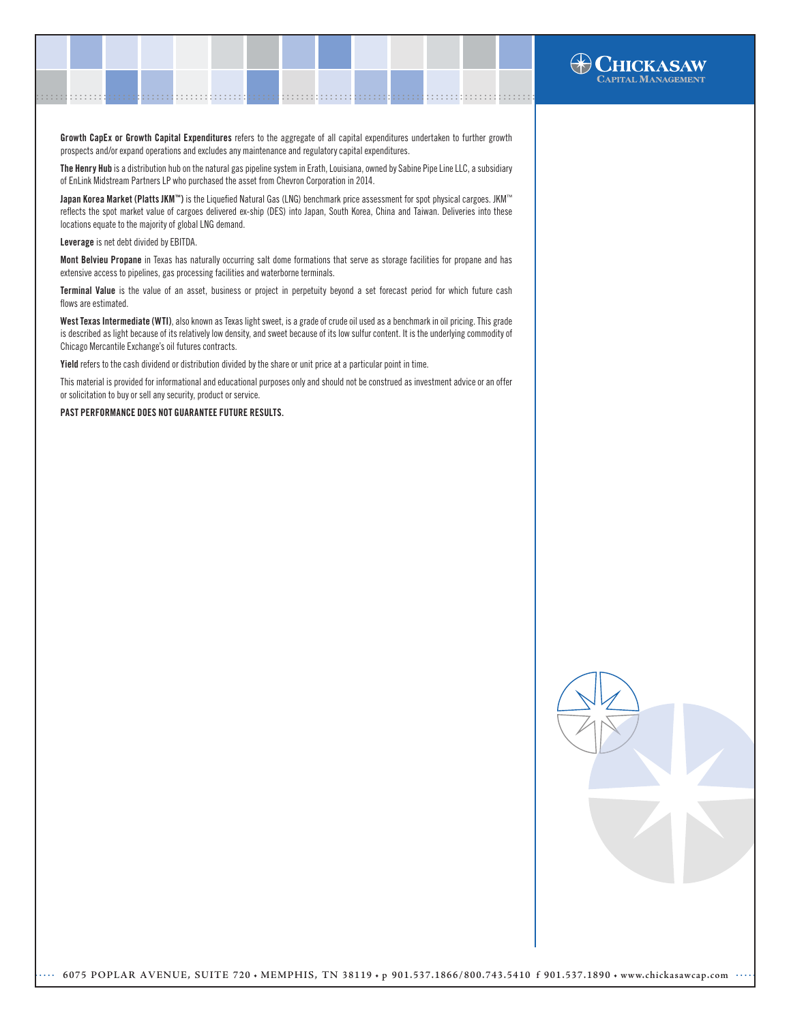

The Henry Hub is a distribution hub on the natural gas pipeline system in Erath, Louisiana, owned by Sabine Pipe Line LLC, a subsidiary of EnLink Midstream Partners LP who purchased the asset from Chevron Corporation in 2014.

Japan Korea Market (Platts JKM™) is the Liquefied Natural Gas (LNG) benchmark price assessment for spot physical cargoes. JKM™ reflects the spot market value of cargoes delivered ex-ship (DES) into Japan, South Korea, China and Taiwan. Deliveries into these locations equate to the majority of global LNG demand.

Leverage is net debt divided by EBITDA.

Mont Belvieu Propane in Texas has naturally occurring salt dome formations that serve as storage facilities for propane and has extensive access to pipelines, gas processing facilities and waterborne terminals.

Terminal Value is the value of an asset, business or project in perpetuity beyond a set forecast period for which future cash flows are estimated.

West Texas Intermediate (WTI), also known as Texas light sweet, is a grade of crude oil used as a benchmark in oil pricing. This grade is described as light because of its relatively low density, and sweet because of its low sulfur content. It is the underlying commodity of Chicago Mercantile Exchange's oil futures contracts.

Yield refers to the cash dividend or distribution divided by the share or unit price at a particular point in time.

This material is provided for informational and educational purposes only and should not be construed as investment advice or an offer or solicitation to buy or sell any security, product or service.

PAST PERFORMANCE DOES NOT GUARANTEE FUTURE RESULTS.



**HCKASAW** APITAL MANAGEMENT